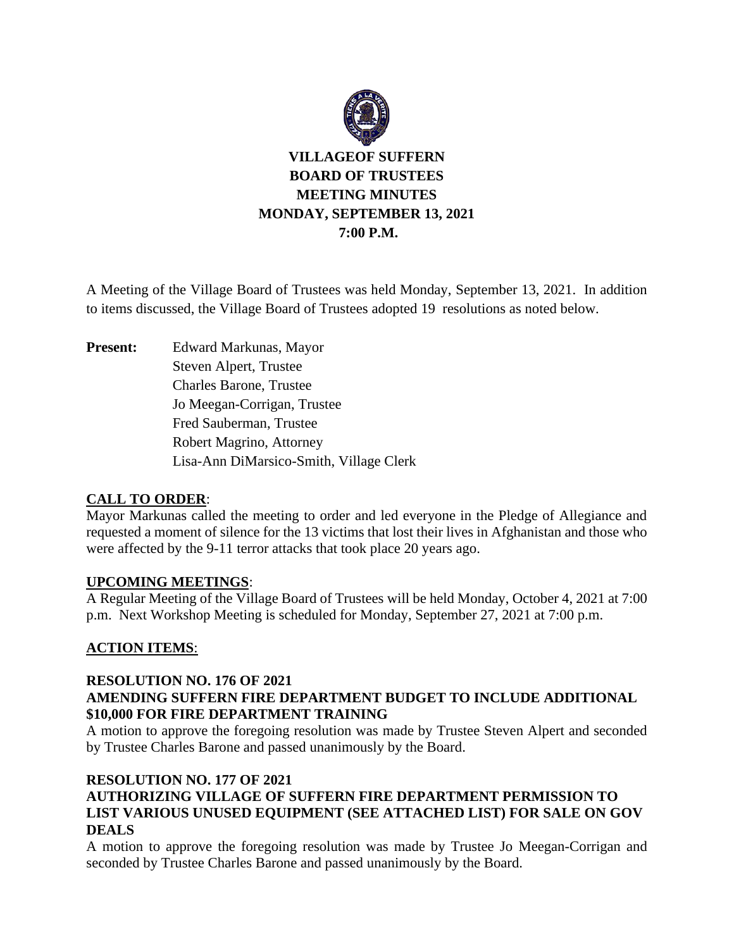

**VILLAGEOF SUFFERN BOARD OF TRUSTEES MEETING MINUTES MONDAY, SEPTEMBER 13, 2021 7:00 P.M.**

A Meeting of the Village Board of Trustees was held Monday, September 13, 2021. In addition to items discussed, the Village Board of Trustees adopted 19 resolutions as noted below.

**Present:** Edward Markunas, Mayor Steven Alpert, Trustee Charles Barone, Trustee Jo Meegan-Corrigan, Trustee Fred Sauberman, Trustee Robert Magrino, Attorney Lisa-Ann DiMarsico-Smith, Village Clerk

### **CALL TO ORDER**:

Mayor Markunas called the meeting to order and led everyone in the Pledge of Allegiance and requested a moment of silence for the 13 victims that lost their lives in Afghanistan and those who were affected by the 9-11 terror attacks that took place 20 years ago.

### **UPCOMING MEETINGS**:

A Regular Meeting of the Village Board of Trustees will be held Monday, October 4, 2021 at 7:00 p.m. Next Workshop Meeting is scheduled for Monday, September 27, 2021 at 7:00 p.m.

### **ACTION ITEMS**:

### **RESOLUTION NO. 176 OF 2021**

# **AMENDING SUFFERN FIRE DEPARTMENT BUDGET TO INCLUDE ADDITIONAL \$10,000 FOR FIRE DEPARTMENT TRAINING**

A motion to approve the foregoing resolution was made by Trustee Steven Alpert and seconded by Trustee Charles Barone and passed unanimously by the Board.

### **RESOLUTION NO. 177 OF 2021**

# **AUTHORIZING VILLAGE OF SUFFERN FIRE DEPARTMENT PERMISSION TO LIST VARIOUS UNUSED EQUIPMENT (SEE ATTACHED LIST) FOR SALE ON GOV DEALS**

A motion to approve the foregoing resolution was made by Trustee Jo Meegan-Corrigan and seconded by Trustee Charles Barone and passed unanimously by the Board.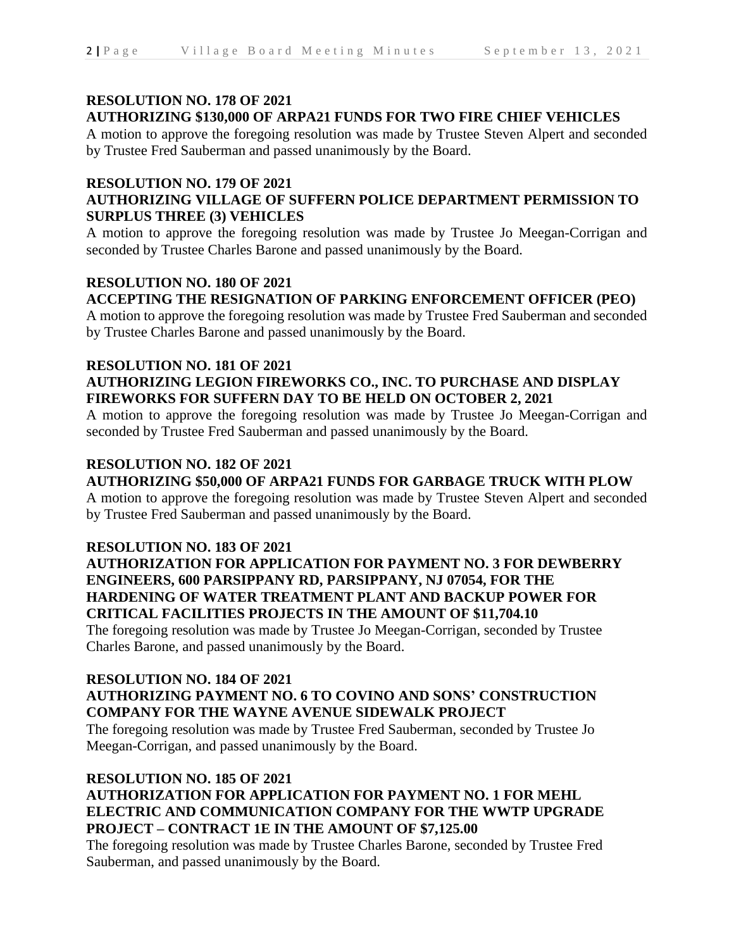### **RESOLUTION NO. 178 OF 2021**

# **AUTHORIZING \$130,000 OF ARPA21 FUNDS FOR TWO FIRE CHIEF VEHICLES**

A motion to approve the foregoing resolution was made by Trustee Steven Alpert and seconded by Trustee Fred Sauberman and passed unanimously by the Board.

# **RESOLUTION NO. 179 OF 2021**

# **AUTHORIZING VILLAGE OF SUFFERN POLICE DEPARTMENT PERMISSION TO SURPLUS THREE (3) VEHICLES**

A motion to approve the foregoing resolution was made by Trustee Jo Meegan-Corrigan and seconded by Trustee Charles Barone and passed unanimously by the Board.

# **RESOLUTION NO. 180 OF 2021 ACCEPTING THE RESIGNATION OF PARKING ENFORCEMENT OFFICER (PEO)**

A motion to approve the foregoing resolution was made by Trustee Fred Sauberman and seconded by Trustee Charles Barone and passed unanimously by the Board.

# **RESOLUTION NO. 181 OF 2021 AUTHORIZING LEGION FIREWORKS CO., INC. TO PURCHASE AND DISPLAY FIREWORKS FOR SUFFERN DAY TO BE HELD ON OCTOBER 2, 2021**

A motion to approve the foregoing resolution was made by Trustee Jo Meegan-Corrigan and seconded by Trustee Fred Sauberman and passed unanimously by the Board.

# **RESOLUTION NO. 182 OF 2021**

# **AUTHORIZING \$50,000 OF ARPA21 FUNDS FOR GARBAGE TRUCK WITH PLOW**

A motion to approve the foregoing resolution was made by Trustee Steven Alpert and seconded by Trustee Fred Sauberman and passed unanimously by the Board.

### **RESOLUTION NO. 183 OF 2021**

# **AUTHORIZATION FOR APPLICATION FOR PAYMENT NO. 3 FOR DEWBERRY ENGINEERS, 600 PARSIPPANY RD, PARSIPPANY, NJ 07054, FOR THE HARDENING OF WATER TREATMENT PLANT AND BACKUP POWER FOR CRITICAL FACILITIES PROJECTS IN THE AMOUNT OF \$11,704.10**

The foregoing resolution was made by Trustee Jo Meegan-Corrigan, seconded by Trustee Charles Barone, and passed unanimously by the Board.

# **RESOLUTION NO. 184 OF 2021**

# **AUTHORIZING PAYMENT NO. 6 TO COVINO AND SONS' CONSTRUCTION COMPANY FOR THE WAYNE AVENUE SIDEWALK PROJECT**

The foregoing resolution was made by Trustee Fred Sauberman, seconded by Trustee Jo Meegan-Corrigan, and passed unanimously by the Board.

# **RESOLUTION NO. 185 OF 2021**

# **AUTHORIZATION FOR APPLICATION FOR PAYMENT NO. 1 FOR MEHL ELECTRIC AND COMMUNICATION COMPANY FOR THE WWTP UPGRADE PROJECT – CONTRACT 1E IN THE AMOUNT OF \$7,125.00**

The foregoing resolution was made by Trustee Charles Barone, seconded by Trustee Fred Sauberman, and passed unanimously by the Board.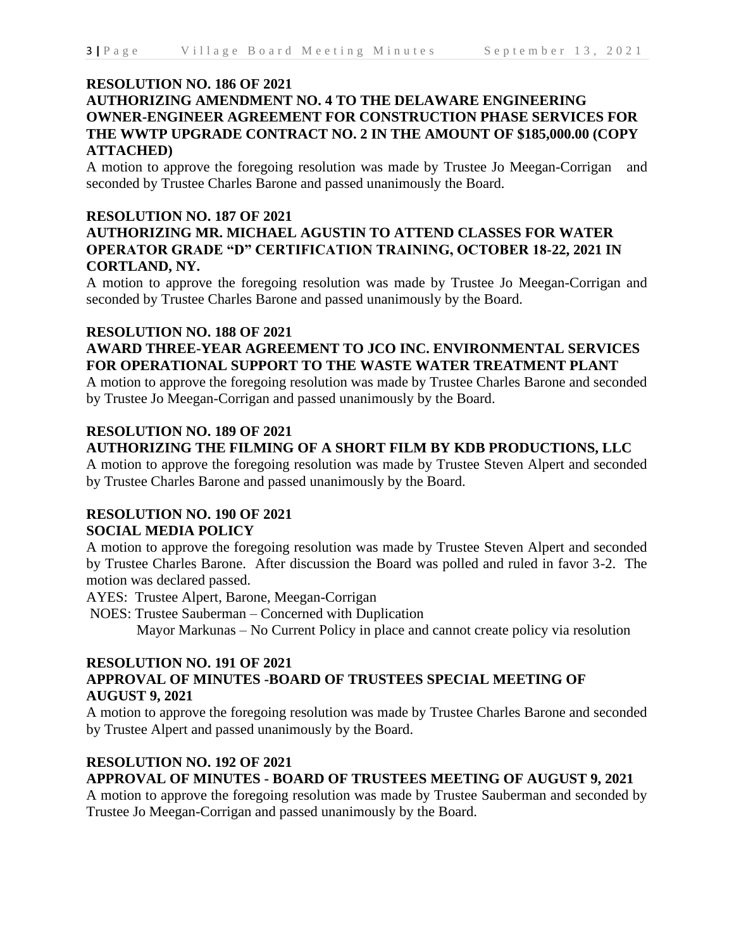#### **RESOLUTION NO. 186 OF 2021**

# **AUTHORIZING AMENDMENT NO. 4 TO THE DELAWARE ENGINEERING OWNER-ENGINEER AGREEMENT FOR CONSTRUCTION PHASE SERVICES FOR THE WWTP UPGRADE CONTRACT NO. 2 IN THE AMOUNT OF \$185,000.00 (COPY ATTACHED)**

A motion to approve the foregoing resolution was made by Trustee Jo Meegan-Corrigan and seconded by Trustee Charles Barone and passed unanimously the Board.

#### **RESOLUTION NO. 187 OF 2021**

# **AUTHORIZING MR. MICHAEL AGUSTIN TO ATTEND CLASSES FOR WATER OPERATOR GRADE "D" CERTIFICATION TRAINING, OCTOBER 18-22, 2021 IN CORTLAND, NY.**

A motion to approve the foregoing resolution was made by Trustee Jo Meegan-Corrigan and seconded by Trustee Charles Barone and passed unanimously by the Board.

# **RESOLUTION NO. 188 OF 2021**

### **AWARD THREE-YEAR AGREEMENT TO JCO INC. ENVIRONMENTAL SERVICES FOR OPERATIONAL SUPPORT TO THE WASTE WATER TREATMENT PLANT**

A motion to approve the foregoing resolution was made by Trustee Charles Barone and seconded by Trustee Jo Meegan-Corrigan and passed unanimously by the Board.

### **RESOLUTION NO. 189 OF 2021**

### **AUTHORIZING THE FILMING OF A SHORT FILM BY KDB PRODUCTIONS, LLC**

A motion to approve the foregoing resolution was made by Trustee Steven Alpert and seconded by Trustee Charles Barone and passed unanimously by the Board.

#### **RESOLUTION NO. 190 OF 2021 SOCIAL MEDIA POLICY**

A motion to approve the foregoing resolution was made by Trustee Steven Alpert and seconded by Trustee Charles Barone. After discussion the Board was polled and ruled in favor 3-2. The motion was declared passed.

AYES: Trustee Alpert, Barone, Meegan-Corrigan

 NOES: Trustee Sauberman – Concerned with Duplication Mayor Markunas – No Current Policy in place and cannot create policy via resolution

#### **RESOLUTION NO. 191 OF 2021**

# **APPROVAL OF MINUTES -BOARD OF TRUSTEES SPECIAL MEETING OF AUGUST 9, 2021**

A motion to approve the foregoing resolution was made by Trustee Charles Barone and seconded by Trustee Alpert and passed unanimously by the Board.

#### **RESOLUTION NO. 192 OF 2021**

### **APPROVAL OF MINUTES - BOARD OF TRUSTEES MEETING OF AUGUST 9, 2021**

A motion to approve the foregoing resolution was made by Trustee Sauberman and seconded by Trustee Jo Meegan-Corrigan and passed unanimously by the Board.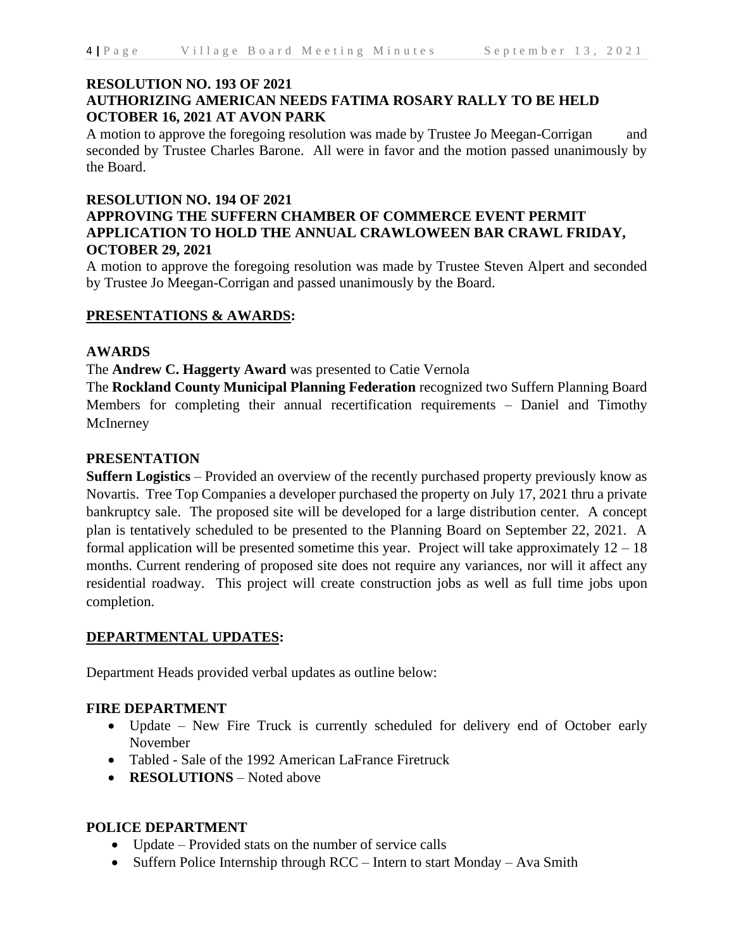### **RESOLUTION NO. 193 OF 2021 AUTHORIZING AMERICAN NEEDS FATIMA ROSARY RALLY TO BE HELD OCTOBER 16, 2021 AT AVON PARK**

A motion to approve the foregoing resolution was made by Trustee Jo Meegan-Corrigan and seconded by Trustee Charles Barone. All were in favor and the motion passed unanimously by the Board.

#### **RESOLUTION NO. 194 OF 2021**

# **APPROVING THE SUFFERN CHAMBER OF COMMERCE EVENT PERMIT APPLICATION TO HOLD THE ANNUAL CRAWLOWEEN BAR CRAWL FRIDAY, OCTOBER 29, 2021**

A motion to approve the foregoing resolution was made by Trustee Steven Alpert and seconded by Trustee Jo Meegan-Corrigan and passed unanimously by the Board.

### **PRESENTATIONS & AWARDS:**

#### **AWARDS**

The **Andrew C. Haggerty Award** was presented to Catie Vernola

The **Rockland County Municipal Planning Federation** recognized two Suffern Planning Board Members for completing their annual recertification requirements – Daniel and Timothy McInerney

#### **PRESENTATION**

**Suffern Logistics** – Provided an overview of the recently purchased property previously know as Novartis. Tree Top Companies a developer purchased the property on July 17, 2021 thru a private bankruptcy sale. The proposed site will be developed for a large distribution center. A concept plan is tentatively scheduled to be presented to the Planning Board on September 22, 2021. A formal application will be presented sometime this year. Project will take approximately  $12 - 18$ months. Current rendering of proposed site does not require any variances, nor will it affect any residential roadway. This project will create construction jobs as well as full time jobs upon completion.

### **DEPARTMENTAL UPDATES:**

Department Heads provided verbal updates as outline below:

### **FIRE DEPARTMENT**

- Update New Fire Truck is currently scheduled for delivery end of October early November
- Tabled Sale of the 1992 American LaFrance Firetruck
- **RESOLUTIONS** Noted above

#### **POLICE DEPARTMENT**

- Update Provided stats on the number of service calls
- Suffern Police Internship through RCC Intern to start Monday Ava Smith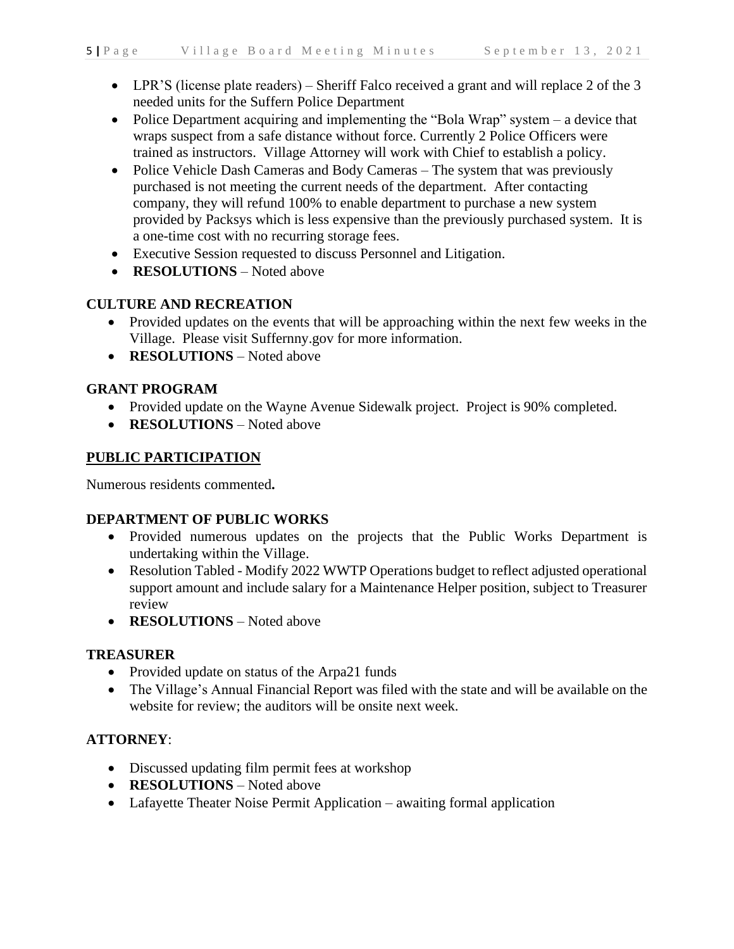- LPR'S (license plate readers) Sheriff Falco received a grant and will replace 2 of the 3 needed units for the Suffern Police Department
- Police Department acquiring and implementing the "Bola Wrap" system a device that wraps suspect from a safe distance without force. Currently 2 Police Officers were trained as instructors. Village Attorney will work with Chief to establish a policy.
- Police Vehicle Dash Cameras and Body Cameras The system that was previously purchased is not meeting the current needs of the department. After contacting company, they will refund 100% to enable department to purchase a new system provided by Packsys which is less expensive than the previously purchased system. It is a one-time cost with no recurring storage fees.
- Executive Session requested to discuss Personnel and Litigation.
- **RESOLUTIONS** Noted above

# **CULTURE AND RECREATION**

- Provided updates on the events that will be approaching within the next few weeks in the Village. Please visit Suffernny.gov for more information.
- **RESOLUTIONS** Noted above

# **GRANT PROGRAM**

- Provided update on the Wayne Avenue Sidewalk project. Project is 90% completed.
- **RESOLUTIONS** Noted above

# **PUBLIC PARTICIPATION**

Numerous residents commented**.**

# **DEPARTMENT OF PUBLIC WORKS**

- Provided numerous updates on the projects that the Public Works Department is undertaking within the Village.
- Resolution Tabled Modify 2022 WWTP Operations budget to reflect adjusted operational support amount and include salary for a Maintenance Helper position, subject to Treasurer review
- **RESOLUTIONS** Noted above

# **TREASURER**

- Provided update on status of the Arpa21 funds
- The Village's Annual Financial Report was filed with the state and will be available on the website for review; the auditors will be onsite next week.

# **ATTORNEY**:

- Discussed updating film permit fees at workshop
- **RESOLUTIONS** Noted above
- Lafayette Theater Noise Permit Application awaiting formal application